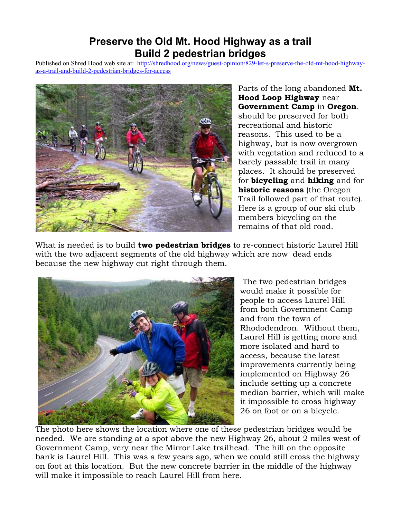## **Preserve the Old Mt. Hood Highway as a trail Build 2 pedestrian bridges**

Published on Shred Hood web site at: [http://shredhood.org/news/guest-opinion/829-let-s-preserve-the-old-mt-hood-highway](http://shredhood.org/news/guest-opinion/829-let-s-preserve-the-old-mt-hood-highway-as-a-trail-and-build-2-pedestrian-bridges-for-access)[as-a-trail-and-build-2-pedestrian-bridges-for-access](http://shredhood.org/news/guest-opinion/829-let-s-preserve-the-old-mt-hood-highway-as-a-trail-and-build-2-pedestrian-bridges-for-access)



Parts of the long abandoned **Mt. Hood Loop Highway** near **Government Camp** in **Oregon**. should be preserved for both recreational and historic reasons. This used to be a highway, but is now overgrown with vegetation and reduced to a barely passable trail in many places. It should be preserved for **bicycling** and **hiking** and for **historic reasons** (the Oregon Trail followed part of that route). Here is a group of our ski club members bicycling on the remains of that old road.

What is needed is to build **two pedestrian bridges** to re-connect historic Laurel Hill with the two adjacent segments of the old highway which are now dead ends because the new highway cut right through them.



The two pedestrian bridges would make it possible for people to access Laurel Hill from both Government Camp and from the town of Rhododendron. Without them, Laurel Hill is getting more and more isolated and hard to access, because the latest improvements currently being implemented on Highway 26 include setting up a concrete median barrier, which will make it impossible to cross highway 26 on foot or on a bicycle.

The photo here shows the location where one of these pedestrian bridges would be needed. We are standing at a spot above the new Highway 26, about 2 miles west of Government Camp, very near the Mirror Lake trailhead. The hill on the opposite bank is Laurel Hill. This was a few years ago, when we could still cross the highway on foot at this location. But the new concrete barrier in the middle of the highway will make it impossible to reach Laurel Hill from here.